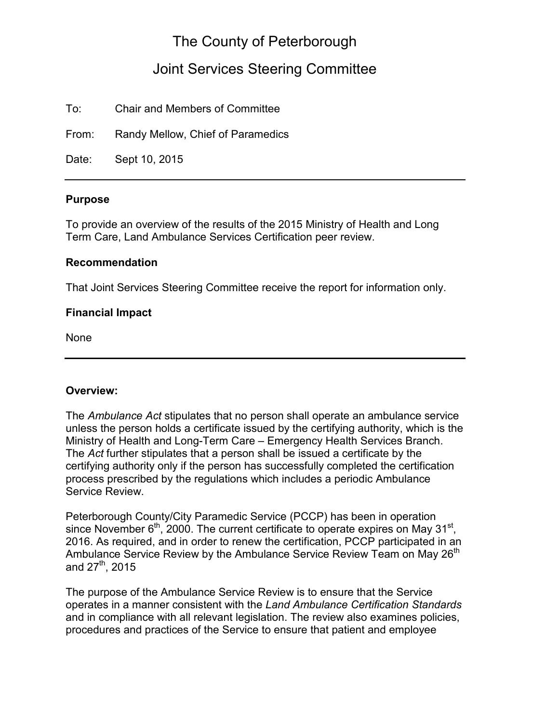# The County of Peterborough

# Joint Services Steering Committee

To: Chair and Members of Committee

From: Randy Mellow, Chief of Paramedics

Date: Sept 10, 2015

#### **Purpose**

To provide an overview of the results of the 2015 Ministry of Health and Long Term Care, Land Ambulance Services Certification peer review.

#### **Recommendation**

That Joint Services Steering Committee receive the report for information only.

#### **Financial Impact**

None

#### **Overview:**

The *Ambulance Act* stipulates that no person shall operate an ambulance service unless the person holds a certificate issued by the certifying authority, which is the Ministry of Health and Long-Term Care – Emergency Health Services Branch. The *Act* further stipulates that a person shall be issued a certificate by the certifying authority only if the person has successfully completed the certification process prescribed by the regulations which includes a periodic Ambulance Service Review.

Peterborough County/City Paramedic Service (PCCP) has been in operation since November  $6<sup>th</sup>$ , 2000. The current certificate to operate expires on May 31<sup>st</sup>, 2016. As required, and in order to renew the certification, PCCP participated in an Ambulance Service Review by the Ambulance Service Review Team on May 26<sup>th</sup> and  $27^{th}$ , 2015

The purpose of the Ambulance Service Review is to ensure that the Service operates in a manner consistent with the *Land Ambulance Certification Standards*  and in compliance with all relevant legislation. The review also examines policies, procedures and practices of the Service to ensure that patient and employee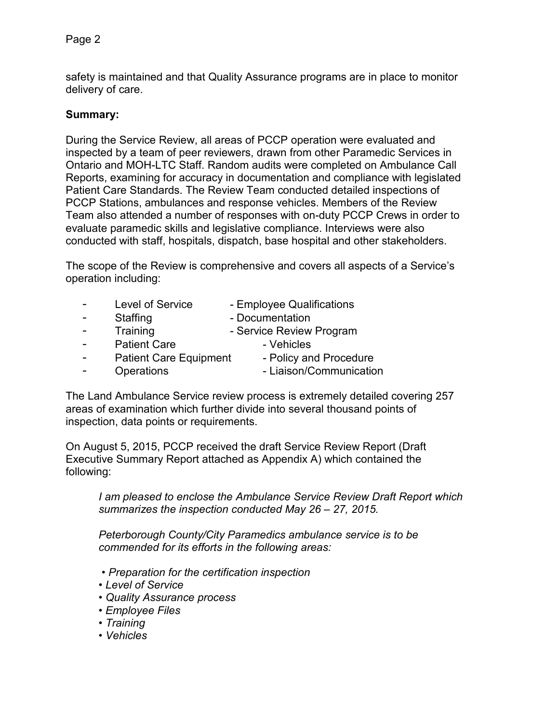Page 2

safety is maintained and that Quality Assurance programs are in place to monitor delivery of care.

### **Summary:**

During the Service Review, all areas of PCCP operation were evaluated and inspected by a team of peer reviewers, drawn from other Paramedic Services in Ontario and MOH-LTC Staff. Random audits were completed on Ambulance Call Reports, examining for accuracy in documentation and compliance with legislated Patient Care Standards. The Review Team conducted detailed inspections of PCCP Stations, ambulances and response vehicles. Members of the Review Team also attended a number of responses with on-duty PCCP Crews in order to evaluate paramedic skills and legislative compliance. Interviews were also conducted with staff, hospitals, dispatch, base hospital and other stakeholders.

The scope of the Review is comprehensive and covers all aspects of a Service's operation including:

- Level of Service Employee Qualifications
- Staffing  **Documentation**
- Training  **Service Review Program**
- Patient Care  **Vehicles**
- Patient Care Equipment Policy and Procedure
	-
- 
- Operations Liaison/Communication

The Land Ambulance Service review process is extremely detailed covering 257 areas of examination which further divide into several thousand points of inspection, data points or requirements.

On August 5, 2015, PCCP received the draft Service Review Report (Draft Executive Summary Report attached as Appendix A) which contained the following:

*I am pleased to enclose the Ambulance Service Review Draft Report which summarizes the inspection conducted May 26 – 27, 2015.* 

*Peterborough County/City Paramedics ambulance service is to be commended for its efforts in the following areas:* 

- *Preparation for the certification inspection*
- *Level of Service*
- *Quality Assurance process*
- *Employee Files*
- *Training*
- *Vehicles*